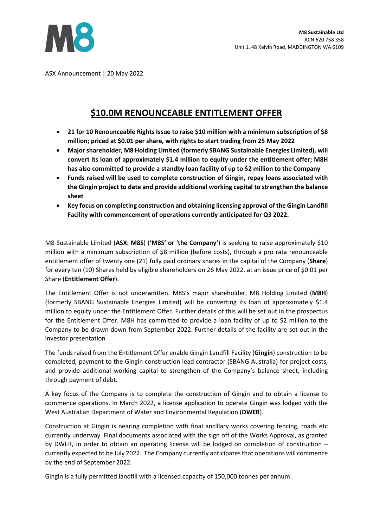

ASX Announcement | 20 May 2022

# **\$10.0M RENOUNCEABLE ENTITLEMENT OFFER**

- **21 for 10 Renounceable Rights Issue to raise \$10 million with a minimum subscription of \$8 million; priced at \$0.01 per share, with rights to start trading from 25 May 2022**
- **Major shareholder, M8 Holding Limited (formerly SBANG Sustainable Energies Limited), will convert its loan of approximately \$1.4 million to equity under the entitlement offer; M8H has also committed to provide a standby loan facility of up to \$2 million to the Company**
- **Funds raised will be used to complete construction of Gingin, repay loans associated with the Gingin project to date and provide additional working capital to strengthen the balance sheet**
- **Key focus on completing construction and obtaining licensing approval of the Gingin Landfill Facility with commencement of operations currently anticipated for Q3 2022.**

M8 Sustainable Limited (**ASX: M8S**) (**'M8S' or** '**the Company'**) is seeking to raise approximately \$10 million with a minimum subscription of \$8 million (before costs), through a pro rata renounceable entitlement offer of twenty one (21) fully paid ordinary shares in the capital of the Company (**Share**) for every ten (10) Shares held by eligible shareholders on 26 May 2022, at an issue price of \$0.01 per Share (**Entitlement Offer**).

The Entitlement Offer is not underwritten. M8S's major shareholder, M8 Holding Limited (**M8H**) (formerly SBANG Sustainable Energies Limited) will be converting its loan of approximately \$1.4 million to equity under the Entitlement Offer. Further details of this will be set out in the prospectus for the Entitlement Offer. M8H has committed to provide a loan facility of up to \$2 million to the Company to be drawn down from September 2022. Further details of the facility are set out in the investor presentation

The funds raised from the Entitlement Offer enable Gingin Landfill Facility (**Gingin**) construction to be completed, payment to the Gingin construction lead contractor (SBANG Australia) for project costs, and provide additional working capital to strengthen of the Company's balance sheet, including through payment of debt.

A key focus of the Company is to complete the construction of Gingin and to obtain a license to commence operations. In March 2022, a license application to operate Gingin was lodged with the West Australian Department of Water and Environmental Regulation (**DWER**).

Construction at Gingin is nearing completion with final ancillary works covering fencing, roads etc currently underway. Final documents associated with the sign off of the Works Approval, as granted by DWER, in order to obtain an operating license will be lodged on completion of construction – currently expected to be July 2022. The Company currently anticipates that operations will commence by the end of September 2022.

Gingin is a fully permitted landfill with a licensed capacity of 150,000 tonnes per annum.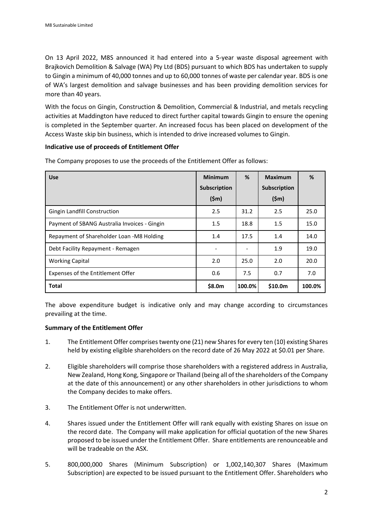On 13 April 2022, M8S announced it had entered into a 5-year waste disposal agreement with Brajkovich Demolition & Salvage (WA) Pty Ltd (BDS) pursuant to which BDS has undertaken to supply to Gingin a minimum of 40,000 tonnes and up to 60,000 tonnes of waste per calendar year. BDS is one of WA's largest demolition and salvage businesses and has been providing demolition services for more than 40 years.

With the focus on Gingin, Construction & Demolition, Commercial & Industrial, and metals recycling activities at Maddington have reduced to direct further capital towards Gingin to ensure the opening is completed in the September quarter. An increased focus has been placed on development of the Access Waste skip bin business, which is intended to drive increased volumes to Gingin.

## **Indicative use of proceeds of Entitlement Offer**

| <b>Use</b>                                   | <b>Minimum</b><br>Subscription | %      | <b>Maximum</b><br>Subscription | %      |
|----------------------------------------------|--------------------------------|--------|--------------------------------|--------|
|                                              | $(\$m)$                        |        | $(\textsf{5m})$                |        |
| Gingin Landfill Construction                 | 2.5                            | 31.2   | 2.5                            | 25.0   |
| Payment of SBANG Australia Invoices - Gingin | 1.5                            | 18.8   | 1.5                            | 15.0   |
| Repayment of Shareholder Loan -M8 Holding    | 1.4                            | 17.5   | 1.4                            | 14.0   |
| Debt Facility Repayment - Remagen            |                                |        | 1.9                            | 19.0   |
| <b>Working Capital</b>                       | 2.0                            | 25.0   | 2.0                            | 20.0   |
| Expenses of the Entitlement Offer            | 0.6                            | 7.5    | 0.7                            | 7.0    |
| <b>Total</b>                                 | \$8.0m                         | 100.0% | \$10.0m                        | 100.0% |

The Company proposes to use the proceeds of the Entitlement Offer as follows:

The above expenditure budget is indicative only and may change according to circumstances prevailing at the time.

# **Summary of the Entitlement Offer**

- 1. The Entitlement Offer comprises twenty one (21) new Shares for every ten (10) existing Shares held by existing eligible shareholders on the record date of 26 May 2022 at \$0.01 per Share.
- 2. Eligible shareholders will comprise those shareholders with a registered address in Australia, New Zealand, Hong Kong, Singapore or Thailand (being all of the shareholders of the Company at the date of this announcement) or any other shareholders in other jurisdictions to whom the Company decides to make offers.
- 3. The Entitlement Offer is not underwritten.
- 4. Shares issued under the Entitlement Offer will rank equally with existing Shares on issue on the record date. The Company will make application for official quotation of the new Shares proposed to be issued under the Entitlement Offer. Share entitlements are renounceable and will be tradeable on the ASX.
- 5. 800,000,000 Shares (Minimum Subscription) or 1,002,140,307 Shares (Maximum Subscription) are expected to be issued pursuant to the Entitlement Offer. Shareholders who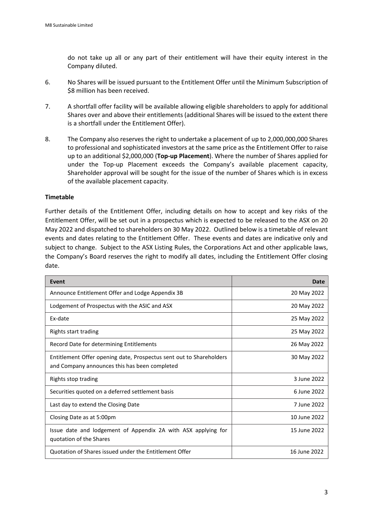do not take up all or any part of their entitlement will have their equity interest in the Company diluted.

- 6. No Shares will be issued pursuant to the Entitlement Offer until the Minimum Subscription of \$8 million has been received.
- 7. A shortfall offer facility will be available allowing eligible shareholders to apply for additional Shares over and above their entitlements (additional Shares will be issued to the extent there is a shortfall under the Entitlement Offer).
- 8. The Company also reserves the right to undertake a placement of up to 2,000,000,000 Shares to professional and sophisticated investors at the same price as the Entitlement Offer to raise up to an additional \$2,000,000 (**Top-up Placement**). Where the number of Shares applied for under the Top-up Placement exceeds the Company's available placement capacity, Shareholder approval will be sought for the issue of the number of Shares which is in excess of the available placement capacity.

## **Timetable**

Further details of the Entitlement Offer, including details on how to accept and key risks of the Entitlement Offer, will be set out in a prospectus which is expected to be released to the ASX on 20 May 2022 and dispatched to shareholders on 30 May 2022. Outlined below is a timetable of relevant events and dates relating to the Entitlement Offer. These events and dates are indicative only and subject to change. Subject to the ASX Listing Rules, the Corporations Act and other applicable laws, the Company's Board reserves the right to modify all dates, including the Entitlement Offer closing date.

| Event                                                                                                                | Date         |  |
|----------------------------------------------------------------------------------------------------------------------|--------------|--|
| Announce Entitlement Offer and Lodge Appendix 3B                                                                     | 20 May 2022  |  |
| Lodgement of Prospectus with the ASIC and ASX                                                                        | 20 May 2022  |  |
| Ex-date                                                                                                              | 25 May 2022  |  |
| Rights start trading                                                                                                 | 25 May 2022  |  |
| Record Date for determining Entitlements                                                                             | 26 May 2022  |  |
| Entitlement Offer opening date, Prospectus sent out to Shareholders<br>and Company announces this has been completed | 30 May 2022  |  |
| Rights stop trading                                                                                                  | 3 June 2022  |  |
| Securities quoted on a deferred settlement basis                                                                     | 6 June 2022  |  |
| Last day to extend the Closing Date                                                                                  | 7 June 2022  |  |
| Closing Date as at 5:00pm                                                                                            | 10 June 2022 |  |
| Issue date and lodgement of Appendix 2A with ASX applying for<br>quotation of the Shares                             | 15 June 2022 |  |
| Quotation of Shares issued under the Entitlement Offer                                                               | 16 June 2022 |  |